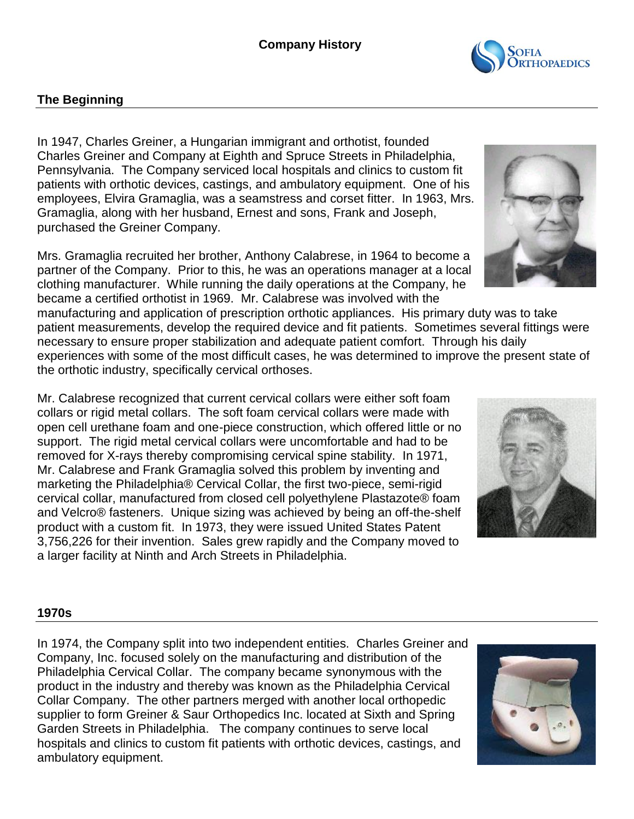

In 1947, Charles Greiner, a Hungarian immigrant and orthotist, founded Charles Greiner and Company at Eighth and Spruce Streets in Philadelphia, Pennsylvania. The Company serviced local hospitals and clinics to custom fit patients with orthotic devices, castings, and ambulatory equipment. One of his employees, Elvira Gramaglia, was a seamstress and corset fitter. In 1963, Mrs. Gramaglia, along with her husband, Ernest and sons, Frank and Joseph, purchased the Greiner Company.

Mrs. Gramaglia recruited her brother, Anthony Calabrese, in 1964 to become a partner of the Company. Prior to this, he was an operations manager at a local clothing manufacturer. While running the daily operations at the Company, he became a certified orthotist in 1969. Mr. Calabrese was involved with the

manufacturing and application of prescription orthotic appliances. His primary duty was to take patient measurements, develop the required device and fit patients. Sometimes several fittings were necessary to ensure proper stabilization and adequate patient comfort. Through his daily experiences with some of the most difficult cases, he was determined to improve the present state of the orthotic industry, specifically cervical orthoses.

Mr. Calabrese recognized that current cervical collars were either soft foam collars or rigid metal collars. The soft foam cervical collars were made with open cell urethane foam and one-piece construction, which offered little or no support. The rigid metal cervical collars were uncomfortable and had to be removed for X-rays thereby compromising cervical spine stability. In 1971, Mr. Calabrese and Frank Gramaglia solved this problem by inventing and marketing the Philadelphia® Cervical Collar, the first two-piece, semi-rigid cervical collar, manufactured from closed cell polyethylene Plastazote® foam and Velcro® fasteners. Unique sizing was achieved by being an off-the-shelf product with a custom fit. In 1973, they were issued United States Patent 3,756,226 for their invention. Sales grew rapidly and the Company moved to a larger facility at Ninth and Arch Streets in Philadelphia.

#### **1970s**

In 1974, the Company split into two independent entities. Charles Greiner and Company, Inc. focused solely on the manufacturing and distribution of the Philadelphia Cervical Collar. The company became synonymous with the product in the industry and thereby was known as the Philadelphia Cervical Collar Company. The other partners merged with another local orthopedic supplier to form Greiner & Saur Orthopedics Inc. located at Sixth and Spring Garden Streets in Philadelphia. The company continues to serve local hospitals and clinics to custom fit patients with orthotic devices, castings, and ambulatory equipment.







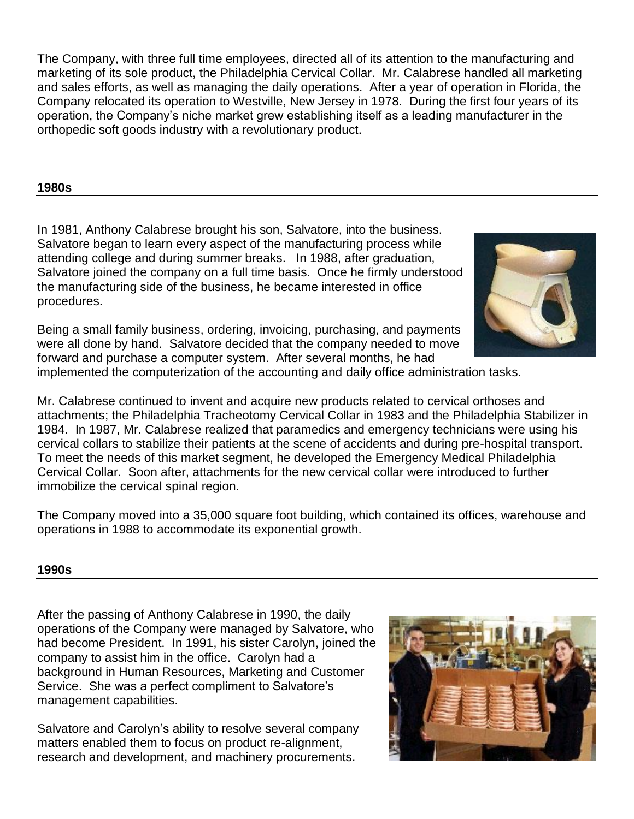The Company, with three full time employees, directed all of its attention to the manufacturing and marketing of its sole product, the Philadelphia Cervical Collar. Mr. Calabrese handled all marketing and sales efforts, as well as managing the daily operations. After a year of operation in Florida, the Company relocated its operation to Westville, New Jersey in 1978. During the first four years of its operation, the Company's niche market grew establishing itself as a leading manufacturer in the orthopedic soft goods industry with a revolutionary product.

# **1980s**

In 1981, Anthony Calabrese brought his son, Salvatore, into the business. Salvatore began to learn every aspect of the manufacturing process while attending college and during summer breaks. In 1988, after graduation, Salvatore joined the company on a full time basis. Once he firmly understood the manufacturing side of the business, he became interested in office procedures.



Being a small family business, ordering, invoicing, purchasing, and payments were all done by hand. Salvatore decided that the company needed to move forward and purchase a computer system. After several months, he had

implemented the computerization of the accounting and daily office administration tasks.

Mr. Calabrese continued to invent and acquire new products related to cervical orthoses and attachments; the Philadelphia Tracheotomy Cervical Collar in 1983 and the Philadelphia Stabilizer in 1984. In 1987, Mr. Calabrese realized that paramedics and emergency technicians were using his cervical collars to stabilize their patients at the scene of accidents and during pre-hospital transport. To meet the needs of this market segment, he developed the Emergency Medical Philadelphia Cervical Collar. Soon after, attachments for the new cervical collar were introduced to further immobilize the cervical spinal region.

The Company moved into a 35,000 square foot building, which contained its offices, warehouse and operations in 1988 to accommodate its exponential growth.

## **1990s**

After the passing of Anthony Calabrese in 1990, the daily operations of the Company were managed by Salvatore, who had become President. In 1991, his sister Carolyn, joined the company to assist him in the office. Carolyn had a background in Human Resources, Marketing and Customer Service. She was a perfect compliment to Salvatore's management capabilities.

Salvatore and Carolyn's ability to resolve several company matters enabled them to focus on product re-alignment, research and development, and machinery procurements.

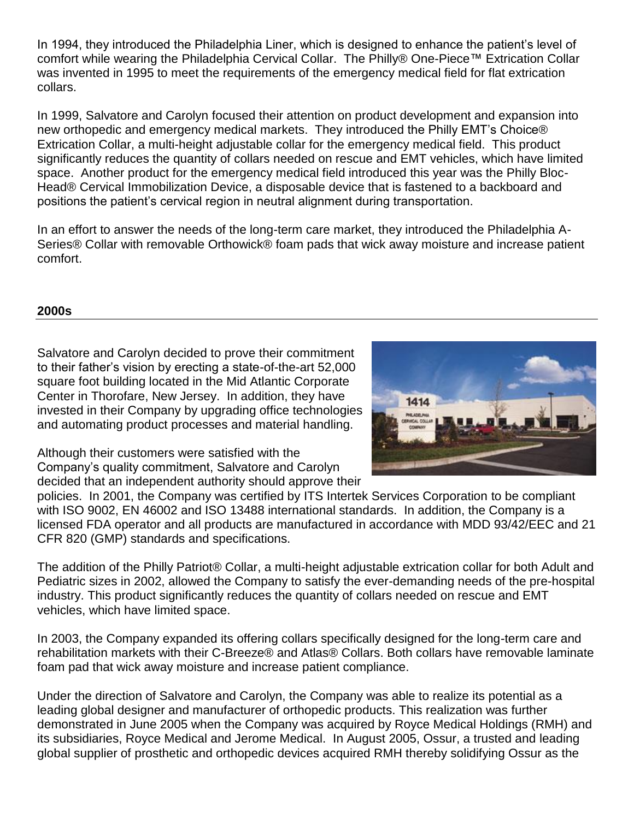In 1994, they introduced the Philadelphia Liner, which is designed to enhance the patient's level of comfort while wearing the Philadelphia Cervical Collar. The Philly® One-Piece™ Extrication Collar was invented in 1995 to meet the requirements of the emergency medical field for flat extrication collars.

In 1999, Salvatore and Carolyn focused their attention on product development and expansion into new orthopedic and emergency medical markets. They introduced the Philly EMT's Choice® Extrication Collar, a multi-height adjustable collar for the emergency medical field. This product significantly reduces the quantity of collars needed on rescue and EMT vehicles, which have limited space. Another product for the emergency medical field introduced this year was the Philly Bloc-Head® Cervical Immobilization Device, a disposable device that is fastened to a backboard and positions the patient's cervical region in neutral alignment during transportation.

In an effort to answer the needs of the long-term care market, they introduced the Philadelphia A-Series® Collar with removable Orthowick® foam pads that wick away moisture and increase patient comfort.

## **2000s**

Salvatore and Carolyn decided to prove their commitment to their father's vision by erecting a state-of-the-art 52,000 square foot building located in the Mid Atlantic Corporate Center in Thorofare, New Jersey. In addition, they have invested in their Company by upgrading office technologies and automating product processes and material handling.

Although their customers were satisfied with the Company's quality commitment, Salvatore and Carolyn decided that an independent authority should approve their



policies. In 2001, the Company was certified by ITS Intertek Services Corporation to be compliant with ISO 9002, EN 46002 and ISO 13488 international standards. In addition, the Company is a licensed FDA operator and all products are manufactured in accordance with MDD 93/42/EEC and 21 CFR 820 (GMP) standards and specifications.

The addition of the Philly Patriot® Collar, a multi-height adjustable extrication collar for both Adult and Pediatric sizes in 2002, allowed the Company to satisfy the ever-demanding needs of the pre-hospital industry. This product significantly reduces the quantity of collars needed on rescue and EMT vehicles, which have limited space.

In 2003, the Company expanded its offering collars specifically designed for the long-term care and rehabilitation markets with their C-Breeze® and Atlas® Collars. Both collars have removable laminate foam pad that wick away moisture and increase patient compliance.

Under the direction of Salvatore and Carolyn, the Company was able to realize its potential as a leading global designer and manufacturer of orthopedic products. This realization was further demonstrated in June 2005 when the Company was acquired by Royce Medical Holdings (RMH) and its subsidiaries, Royce Medical and Jerome Medical. In August 2005, Ossur, a trusted and leading global supplier of prosthetic and orthopedic devices acquired RMH thereby solidifying Ossur as the